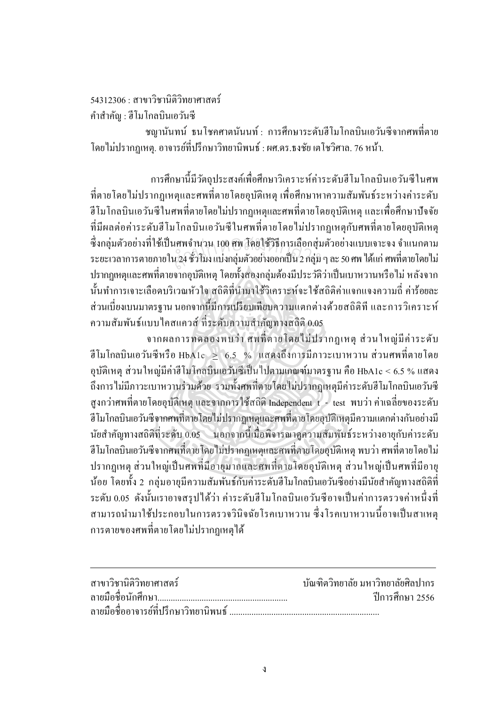54312306 : สาขาวิชาบิติวิทยาศาสตร์

คำสำคัญ : ฮีโมโกลบินเอวันซี

ี ชญานันทน์ ธนโชคศาตนันนท์: การศึกษาระดับฮีโมโกลบินเอวันซีจากศพที่ตาย โดยไม่ปรากฏเหตุ. อาจารย์ที่ปรึกษาวิทยานิพนธ์ : ผศ.ดร.ธงชัย เตโชวิศาล. 76 หน้า.

ึการศึกษานี้มีวัตถประสงค์เพื่อศึกษาวิเคราะห์ค่าระดับฮีโมโกลบินเอวันซีในศพ ที่ตายโดยไม่ปรากฏเหตุและศพที่ตายโดยอุบัติเหตุ เพื่อศึกษาหาความสัมพันธ์ระหว่างค่าระดับ ี ฮีโมโกลบินเอวันซีในศพที่ตายโดยไม่ปรากฎเหตุและศพที่ตายโดยอุบัติเหตุ และเพื่อศึกษาปัจจัย ที่มีผลต่อค่าระดับฮีโมโกลบินเอวันซีในศพที่ตายโดยไม่ปรากฏเหตุกับศพที่ตายโดยอบัติเหต ์ซึ่งกล่มตัวอย่างที่ใช้เป็นศพจำนวน 100 ศพ โดยใช้วิธีการเลือกส่มตัวอย่างแบบเจาะจง จำแนกตาม ระยะเวลาการตายภายใน 24 ชั่วโมง แบ่งกลุ่มตัวอย่างออกเป็น 2 กลุ่ม ๆ ละ 50 ศพ ได้แก่ ศพที่ตายโดยไม่ ้ ปรากฏเหตุและศพที่ตายจากอบัติเหตุ โดยทั้งสองกล่มต้องมีประวัติว่าเป็นเบาหวานหรือไม่ หลังจาก ้นั้นทำการเจาะเลือดบริเวณหัวใจ สถิติที่นำมาใช้วิเคราะห์จะใช้สถิติค่าแจกแจงความถี่ ค่าร้อยละ ้ส่วนเบี่ยงเบนมาตรฐาน นอกจากนี้มีการเปรียบเทียบความแตกต่างด้วยสถิติที และการวิเคราะห์ ความสัมพันธ์แบบใคสแควส์ ที่ระดับความสำคัญทางสถิติ 0.05

จากผลการทคลองพบว่า ศพที่ตายโคยไม่ปรากฏเหตุ ส่วนใหญ่มีค่าระดับ ี่ฮีโมโกลบินเอวันซีหรือ HbA1c > 6.5 % แสคงถึงการมีภาวะเบาหวาน ส่วนศพที่ตายโดย อุบัติเหตุ ส่วนใหญ่มีค่าฮีโมโกลบินเอวันซีเป็นไปตามเกณฑ์มาตรฐาน คือ HbA1c < 6.5 % แสดง ถึงการไม่มีภาวะเบาหวานร่วมด้วย รวมทั้งศพที่ตายโดยไม่ปรากฏเหตุมีค่าระดับฮีโมโกลบินเอวันซี ี่สูงกว่าศพที่ตายโดยอุบัติเหตุ และจากการใช้สถิติ Independent t - test พบว่า ค่าเฉลี่ยของระดับ ี้ฮีโมโกลบินเอวันซีจากศพที่ตายโดยไม่ปรากฏเหตุและศพที่ตายโดยอบัติเหตุมีความแตกต่างกันอย่างมี นัยสำคัญทางสถิติที่ระดับ 0.05 นอกจากนี้เมื่อพิจารณาดูความสัมพันธ์ระหว่างอายุกับค่าระดับ ์ฮีโมโกลบินเอวันซีจากศพที่ตายโดยไม่ปรากฏเหตุและศพที่ตายโดยอุบัติเหตุ พบว่า ศพที่ตายโดยไม่ ปรากฏเหตุ ส่วนใหญ่เป็นศพที่มีอายุมากและศพที่ตายโดยอุบัติเหตุ ส่วนใหญ่เป็นศพที่มีอายุ ้น้อย โดยทั้ง 2 กลุ่มอายุมีความสัมพันธ์กับค่าระดับฮีโมโกลบินเอวันซีอย่างมีนัยสำคัญทางสถิติที่ ระคับ 0.05 คังนั้นเราอาจสรุปได้ว่า ค่าระคับฮีโมโกลบินเอวันซีอาจเป็นค่าการตรวจค่าหนึ่งที่ ี่ สามารถนำมาใช้ประกอบในการตรวจวินิจฉัยโรคเบาหวาน ซึ่งโรคเบาหวานนี้อาจเป็นสาเหต ้การตายของศพที่ตายโดยไม่ปรากฏเหตุได้

| ิสาขาวิชานิติวิทยาศาสตร์ | ำเันฑิตวิทยาลัย มหาวิทยาลัยศิลปากร |
|--------------------------|------------------------------------|
|                          | ์ ปีการศึกษา 2556                  |
|                          |                                    |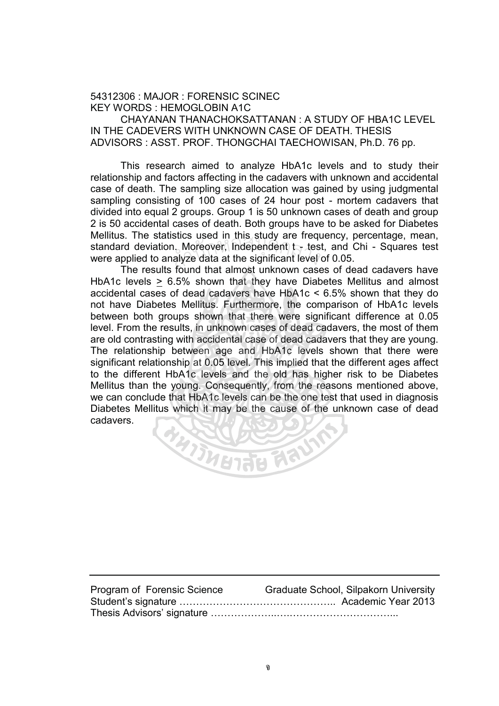## 54312306 : MAJOR : FORENSIC SCINEC KEY WORDS : HEMOGLOBIN A1C

CHAYANAN THANACHOKSATTANAN : A STUDY OF HBA1C LEVEL IN THE CADEVERS WITH UNKNOWN CASE OF DEATH. THESIS ADVISORS : ASST. PROF. THONGCHAI TAECHOWISAN, Ph.D. 76 pp.

This research aimed to analyze HbA1c levels and to study their relationship and factors affecting in the cadavers with unknown and accidental case of death. The sampling size allocation was gained by using judgmental sampling consisting of 100 cases of 24 hour post - mortem cadavers that divided into equal 2 groups. Group 1 is 50 unknown cases of death and group 2 is 50 accidental cases of death. Both groups have to be asked for Diabetes Mellitus. The statistics used in this study are frequency, percentage, mean, standard deviation. Moreover, Independent t - test, and Chi - Squares test were applied to analyze data at the significant level of 0.05. alous does in this stag, are negt<br>in. Moreover, Independent t - tes<br>lalyze data at the significant level

The results found that almost unknown cases of dead cadavers have HbA1c levels > 6.5% shown that they have Diabetes Mellitus and almost accidental cases of dead cadavers have HbA1c < 6.5% shown that they do not have Diabetes Mellitus. Furthermore, the comparison of HbA1c levels between both groups shown that there were significant difference at 0.05 level. From the results, in unknown cases of dead cadavers, the most of them are old contrasting with accidental case of dead cadavers that they are young. The relationship between age and HbA1c levels shown that there were significant relationship at 0.05 level. This implied that the different ages affect to the different HbA1c levels and the old has higher risk to be Diabetes Mellitus than the young. Consequently, from the reasons mentioned above, we can conclude that HbA1c levels can be the one test that used in diagnosis Diabetes Mellitus which it may be the cause of the unknown case of dead cadavers. **RANGELIAN** 

Program of Forensic Science Graduate School, Silpakorn University Student's signature ……………………………………….. Academic Year 2013 Thesis Advisors' signature ………………..….…………………………...